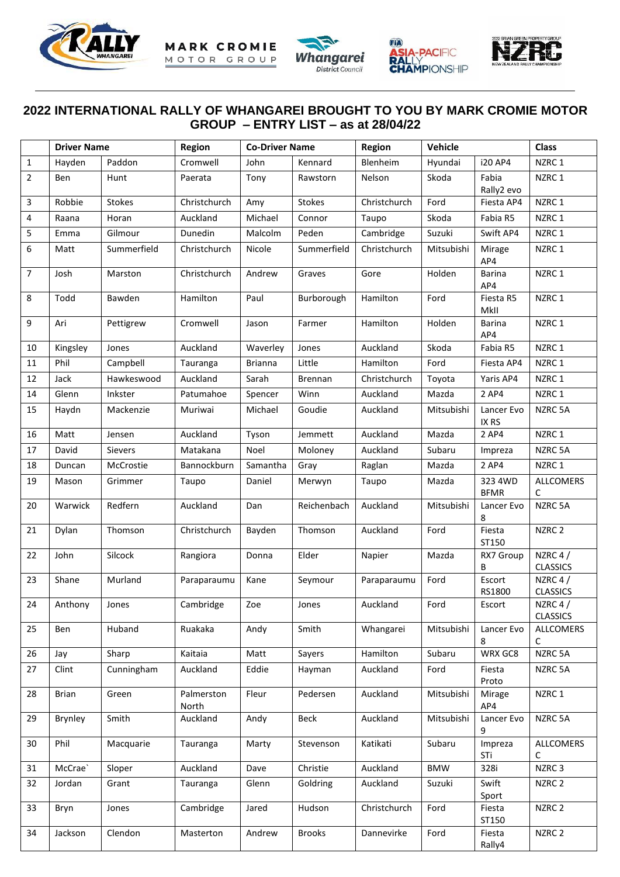







## **2022 INTERNATIONAL RALLY OF WHANGAREI BROUGHT TO YOU BY MARK CROMIE MOTOR GROUP – ENTRY LIST – as at 28/04/22**

|                | <b>Driver Name</b> |                | Region              | <b>Co-Driver Name</b> |                                                   | Vehicle<br>Region                       |                    | <b>Class</b>           |                               |  |
|----------------|--------------------|----------------|---------------------|-----------------------|---------------------------------------------------|-----------------------------------------|--------------------|------------------------|-------------------------------|--|
| $\mathbf{1}$   | Hayden             | Paddon         | Cromwell            | John                  | Kennard                                           | Blenheim                                | Hyundai<br>i20 AP4 |                        | NZRC 1                        |  |
| $\overline{2}$ | Ben                | Hunt           | Paerata             | Tony                  | Rawstorn                                          | Nelson<br>Skoda<br>Fabia<br>Rally2 evo  |                    | NZRC 1                 |                               |  |
| 3              | Robbie             | <b>Stokes</b>  | Christchurch        | Amy                   | <b>Stokes</b>                                     | Christchurch                            | Ford<br>Fiesta AP4 |                        | NZRC 1                        |  |
| 4              | Raana              | Horan          | Auckland            | Michael               | Connor                                            | Taupo                                   | Skoda              | Fabia R5               | NZRC 1                        |  |
| 5              | Emma               | Gilmour        | Dunedin             | Malcolm               | Peden                                             | Cambridge                               | Suzuki             | Swift AP4              | NZRC 1                        |  |
| 6              | Matt               | Summerfield    | Christchurch        | Nicole                | Summerfield                                       | Christchurch                            | Mitsubishi         | Mirage<br>AP4          | NZRC 1                        |  |
| $\overline{7}$ | Josh               | Marston        | Christchurch        | Andrew                | Graves                                            | Gore                                    | Holden             | Barina<br>AP4          | NZRC 1                        |  |
| 8              | Todd               | Bawden         | Hamilton            | Paul                  | Burborough                                        | Hamilton                                | Ford               | Fiesta R5<br>MkII      | NZRC 1                        |  |
| 9              | Ari                | Pettigrew      | Cromwell            | Jason                 | Farmer                                            | Hamilton                                | Holden             | <b>Barina</b><br>AP4   | NZRC 1                        |  |
| 10             | Kingsley           | Jones          | Auckland            | Waverley              | Jones                                             | Auckland                                | Skoda              | Fabia R5               | NZRC 1                        |  |
| 11             | Phil               | Campbell       | Tauranga            | <b>Brianna</b>        | Little                                            | Hamilton                                | Ford               | Fiesta AP4             | NZRC 1                        |  |
| 12             | Jack               | Hawkeswood     | Auckland            | Sarah                 | <b>Brennan</b>                                    | Christchurch                            | Toyota             | Yaris AP4              | NZRC 1                        |  |
| 14             | Glenn              | Inkster        | Patumahoe           | Spencer               | Winn                                              | Auckland                                | Mazda              | 2 AP4                  | NZRC 1                        |  |
| 15             | Haydn              | Mackenzie      | Muriwai             | Michael               | Goudie                                            | Auckland                                | Mitsubishi         | Lancer Evo<br>IX RS    | NZRC 5A                       |  |
| 16             | Matt               | Jensen         | Auckland            | Tyson                 | Jemmett                                           | Auckland                                | Mazda              | 2 AP4                  | NZRC 1                        |  |
| 17             | David              | <b>Sievers</b> | Matakana            | Noel                  | Moloney                                           | Auckland                                | Subaru             | Impreza                | NZRC 5A                       |  |
| 18             | Duncan             | McCrostie      | Bannockburn         | Samantha              | Gray                                              | Raglan                                  | Mazda              | 2 AP4                  | NZRC 1                        |  |
| 19             | Mason              | Grimmer        | Taupo               | Daniel                | Merwyn                                            | Taupo                                   | Mazda              | 323 4WD<br><b>BFMR</b> | <b>ALLCOMERS</b><br>C         |  |
| 20             | Warwick            | Redfern        | Auckland            | Dan                   | Reichenbach                                       | Auckland                                | Mitsubishi         | Lancer Evo<br>8        | NZRC 5A                       |  |
| 21             | Dylan              | Thomson        | Christchurch        | Bayden                | Thomson                                           | Fiesta<br>Auckland<br>Ford<br>ST150     |                    |                        | NZRC <sub>2</sub>             |  |
| 22             | John               | Silcock        | Rangiora            | Donna                 | Elder                                             | Mazda<br>Napier<br>В                    |                    | RX7 Group              | NZRC 4 $/$<br><b>CLASSICS</b> |  |
| 23             | Shane              | Murland        | Paraparaumu         | Kane                  | Seymour                                           | Paraparaumu                             | Ford               | Escort<br>RS1800       | NZRC 4 $/$<br><b>CLASSICS</b> |  |
| 24             | Anthony            | Jones          | Cambridge           | Zoe                   | Jones                                             | Ford<br>Auckland                        |                    | Escort                 | NZRC 4 $/$<br><b>CLASSICS</b> |  |
| 25             | Ben                | Huband         | Ruakaka             | Andy                  | Smith                                             | Whangarei                               | Mitsubishi         | Lancer Evo<br>8        | ALLCOMERS<br>$\mathsf{C}$     |  |
| 26             | Jay                | Sharp          | Kaitaia             | Matt                  | Sayers                                            | Hamilton                                | Subaru             | WRX GC8                | NZRC 5A                       |  |
| 27             | Clint              | Cunningham     | Auckland            | Eddie                 | Hayman                                            | Auckland<br>Ford<br>Fiesta<br>Proto     |                    | NZRC 5A                |                               |  |
| 28             | Brian              | Green          | Palmerston<br>North | Fleur                 | Pedersen                                          | Auckland                                | Mitsubishi         | Mirage<br>AP4          | NZRC 1                        |  |
| 29             | Brynley            | Smith          | Auckland            | Andy                  | Beck                                              | Auckland                                | Mitsubishi         | Lancer Evo<br>9        | NZRC 5A                       |  |
| 30             | Phil               | Macquarie      | Tauranga            | Marty                 | Subaru<br>Stevenson<br>Katikati<br>Impreza<br>STi |                                         |                    | <b>ALLCOMERS</b><br>C  |                               |  |
| 31             | McCrae`            | Sloper         | Auckland            | Dave                  | Christie                                          | Auckland                                | <b>BMW</b>         | 328i                   | NZRC <sub>3</sub>             |  |
| 32             | Jordan             | Grant          | Tauranga            | Glenn                 | Goldring                                          | Swift<br>Auckland<br>Suzuki<br>Sport    |                    |                        | NZRC 2                        |  |
| 33             | Bryn               | Jones          | Cambridge           | Jared                 | Hudson                                            | Christchurch<br>Ford<br>Fiesta<br>ST150 |                    |                        | NZRC <sub>2</sub>             |  |
| 34             | Jackson            | Clendon        | Masterton           | Andrew                | <b>Brooks</b>                                     | Dannevirke                              | Ford               | Fiesta<br>Rally4       | NZRC <sub>2</sub>             |  |